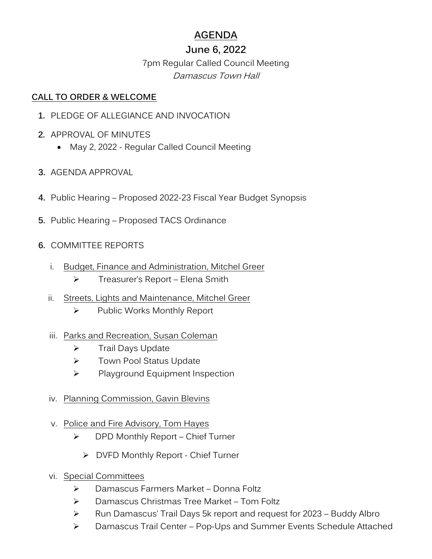# **AGENDA**

# **June 6, 2022**

# 7pm Regular Called Council Meeting Damascus Town Hall

### **CALL TO ORDER & WELCOME**

- **1.** PLEDGE OF ALLEGIANCE AND INVOCATION
- **2.** APPROVAL OF MINUTES
	- May 2, 2022 Regular Called Council Meeting
- **3.** AGENDA APPROVAL
- **4.** Public Hearing Proposed 2022-23 Fiscal Year Budget Synopsis
- **5.** Public Hearing Proposed TACS Ordinance
- **6.** COMMITTEE REPORTS
	- i. Budget, Finance and Administration, Mitchel Greer
		- ➢ Treasurer's Report Elena Smith
	- ii. Streets, Lights and Maintenance, Mitchel Greer
		- ➢ Public Works Monthly Report
	- iii. Parks and Recreation, Susan Coleman
		- ➢ Trail Days Update
		- ➢ Town Pool Status Update
		- ➢ Playground Equipment Inspection
	- iv. Planning Commission, Gavin Blevins
	- v. Police and Fire Advisory, Tom Hayes
		- ➢ DPD Monthly Report Chief Turner
			- ➢ DVFD Monthly Report Chief Turner
	- vi. Special Committees
		- ➢ Damascus Farmers Market Donna Foltz
		- ➢ Damascus Christmas Tree Market Tom Foltz
		- ➢ Run Damascus' Trail Days 5k report and request for 2023 Buddy Albro
		- ➢ Damascus Trail Center Pop-Ups and Summer Events Schedule Attached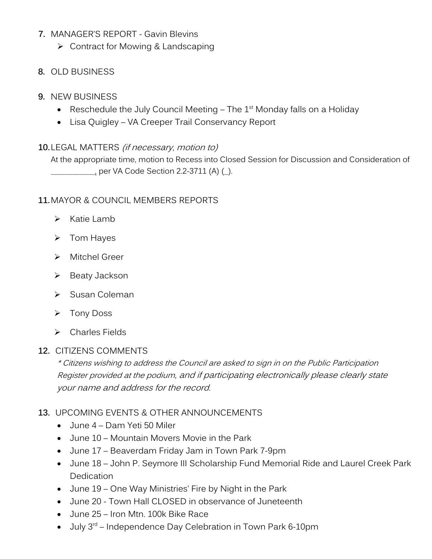### **7.** MANAGER'S REPORT - Gavin Blevins

➢ Contract for Mowing & Landscaping

## **8.** OLD BUSINESS

### **9.** NEW BUSINESS

- Reschedule the July Council Meeting  $-$  The 1<sup>st</sup> Monday falls on a Holiday
- Lisa Quigley VA Creeper Trail Conservancy Report

### **10.**LEGAL MATTERS (if necessary, motion to)

At the appropriate time, motion to Recess into Closed Session for Discussion and Consideration of \_\_\_\_\_\_\_\_\_\_\_, per VA Code Section 2.2-3711 (A) (\_).

### **11.**MAYOR & COUNCIL MEMBERS REPORTS

- ➢ Katie Lamb
- ➢ Tom Hayes
- ➢ Mitchel Greer
- ➢ Beaty Jackson
- ➢ Susan Coleman
- ➢ Tony Doss
- ➢ Charles Fields

### **12.** CITIZENS COMMENTS

\* Citizens wishing to address the Council are asked to sign in on the Public Participation Register provided at the podium, and if participating electronically please clearly state your name and address for the record.

## **13.** UPCOMING EVENTS & OTHER ANNOUNCEMENTS

- June 4 Dam Yeti 50 Miler
- June 10 Mountain Movers Movie in the Park
- June 17 Beaverdam Friday Jam in Town Park 7-9pm
- June 18 John P. Seymore III Scholarship Fund Memorial Ride and Laurel Creek Park Dedication
- June 19 One Way Ministries' Fire by Night in the Park
- June 20 Town Hall CLOSED in observance of Juneteenth
- June 25 Iron Mtn. 100k Bike Race
- $\bullet$  July 3<sup>rd</sup> Independence Day Celebration in Town Park 6-10pm